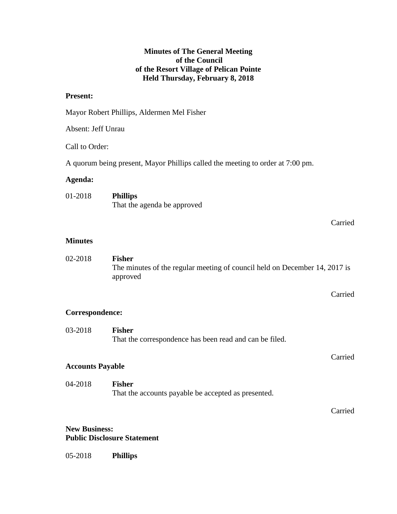## **Minutes of The General Meeting of the Council of the Resort Village of Pelican Pointe Held Thursday, February 8, 2018**

## **Present:**

|                    | Mayor Robert Phillips, Aldermen Mel Fisher                                                              |
|--------------------|---------------------------------------------------------------------------------------------------------|
| Absent: Jeff Unrau |                                                                                                         |
| Call to Order:     |                                                                                                         |
|                    | A quorum being present, Mayor Phillips called the meeting to order at 7:00 pm.                          |
| Agenda:            |                                                                                                         |
| 01-2018            | <b>Phillips</b><br>That the agenda be approved                                                          |
|                    | Carried                                                                                                 |
| <b>Minutes</b>     |                                                                                                         |
| 02-2018            | <b>Fisher</b><br>The minutes of the regular meeting of council held on December 14, 2017 is<br>approved |
|                    | Carried                                                                                                 |
| Correspondence:    |                                                                                                         |
| 03-2018            | <b>Fisher</b><br>That the correspondence has been read and can be filed.                                |

## **Accounts Payable**

04-2018 **Fisher** That the accounts payable be accepted as presented.

Carried

Carried

## **New Business: Public Disclosure Statement**

05-2018 **Phillips**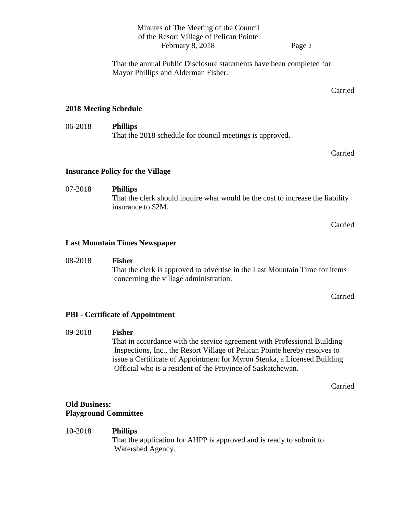That the annual Public Disclosure statements have been completed for Mayor Phillips and Alderman Fisher.

Carried

## **2018 Meeting Schedule**

06-2018 **Phillips** That the 2018 schedule for council meetings is approved.

Carried

#### **Insurance Policy for the Village**

# 07-2018 **Phillips** That the clerk should inquire what would be the cost to increase the liability insurance to \$2M.

Carried

#### **Last Mountain Times Newspaper**

#### 08-2018 **Fisher**

That the clerk is approved to advertise in the Last Mountain Time for items concerning the village administration.

Carried

## **PBI - Certificate of Appointment**

#### 09-2018 **Fisher**

That in accordance with the service agreement with Professional Building Inspections, Inc., the Resort Village of Pelican Pointe hereby resolves to issue a Certificate of Appointment for Myron Stenka, a Licensed Building Official who is a resident of the Province of Saskatchewan.

Carried

## **Old Business: Playground Committee**

## 10-2018 **Phillips**

That the application for AHPP is approved and is ready to submit to Watershed Agency.